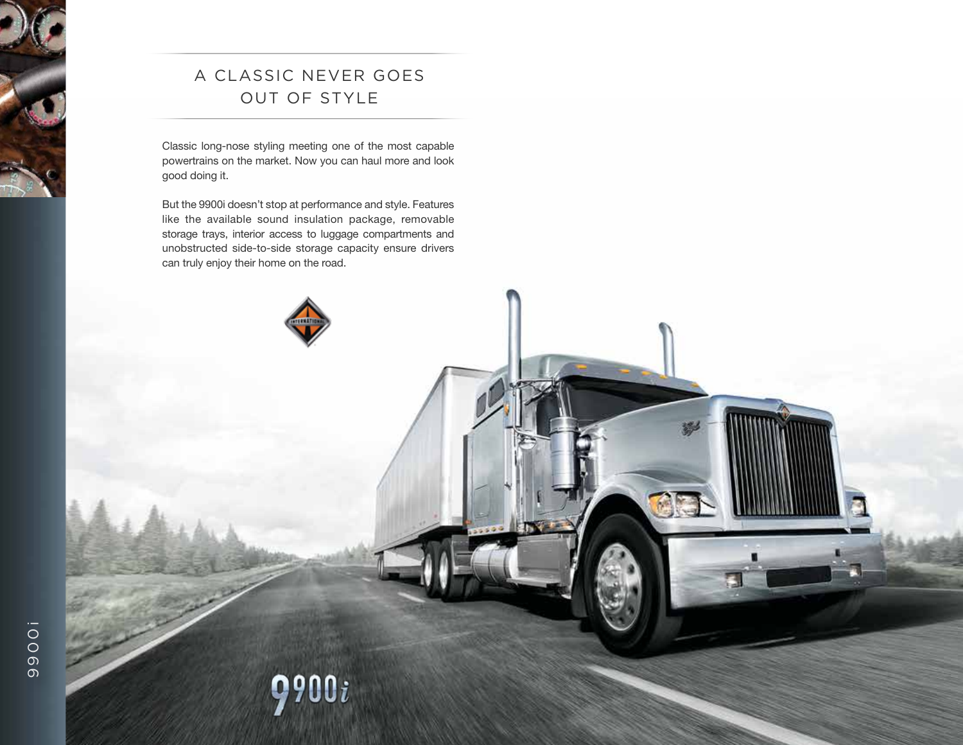# A Classic Never Goes Out of Style

Classic long-nose styling meeting one of the most capable powertrains on the market. Now you can haul more and look good doing it.

But the 9900i doesn't stop at performance and style. Features like the available sound insulation package, removable storage trays, interior access to luggage compartments and unobstructed side-to-side storage capacity ensure drivers can truly enjoy their home on the road.